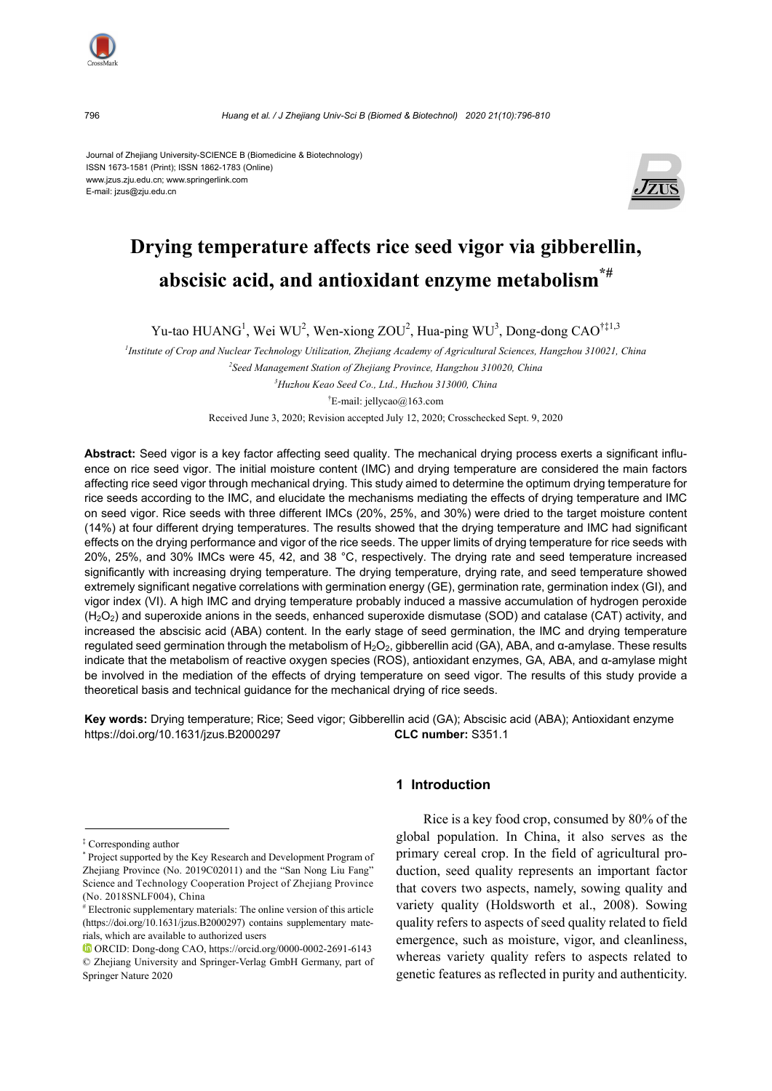

796 *Huang et al. / J Zhejiang Univ-Sci B (Biomed & Biotechnol) 2020 21(10):796-810*

Journal of Zhejiang University-SCIENCE B (Biomedicine & Biotechnology) ISSN 1673-1581 (Print); ISSN 1862-1783 (Online) www.jzus.zju.edu.cn; www.springerlink.com E-mail: jzus@zju.edu.cn



# **Drying temperature affects rice seed vigor via gibberellin, abscisic acid, and antioxidant enzyme metabolism\*#**

Yu-tao HUANG<sup>1</sup>, Wei WU<sup>2</sup>, Wen-xiong ZOU<sup>2</sup>, Hua-ping WU<sup>3</sup>, Dong-dong CAO<sup>†‡1,3</sup>

 *Institute of Crop and Nuclear Technology Utilization, Zhejiang Academy of Agricultural Sciences, Hangzhou 310021, China Seed Management Station of Zhejiang Province, Hangzhou 310020, China Huzhou Keao Seed Co., Ltd., Huzhou 313000, China*  † E-mail: jellycao@163.com

Received June 3, 2020; Revision accepted July 12, 2020; Crosschecked Sept. 9, 2020

**Abstract:** Seed vigor is a key factor affecting seed quality. The mechanical drying process exerts a significant influence on rice seed vigor. The initial moisture content (IMC) and drying temperature are considered the main factors affecting rice seed vigor through mechanical drying. This study aimed to determine the optimum drying temperature for rice seeds according to the IMC, and elucidate the mechanisms mediating the effects of drying temperature and IMC on seed vigor. Rice seeds with three different IMCs (20%, 25%, and 30%) were dried to the target moisture content (14%) at four different drying temperatures. The results showed that the drying temperature and IMC had significant effects on the drying performance and vigor of the rice seeds. The upper limits of drying temperature for rice seeds with 20%, 25%, and 30% IMCs were 45, 42, and 38 °C, respectively. The drying rate and seed temperature increased significantly with increasing drying temperature. The drying temperature, drying rate, and seed temperature showed extremely significant negative correlations with germination energy (GE), germination rate, germination index (GI), and vigor index (VI). A high IMC and drying temperature probably induced a massive accumulation of hydrogen peroxide  $(H<sub>2</sub>O<sub>2</sub>)$  and superoxide anions in the seeds, enhanced superoxide dismutase (SOD) and catalase (CAT) activity, and increased the abscisic acid (ABA) content. In the early stage of seed germination, the IMC and drying temperature regulated seed germination through the metabolism of H<sub>2</sub>O<sub>2</sub>, gibberellin acid (GA), ABA, and α-amylase. These results indicate that the metabolism of reactive oxygen species (ROS), antioxidant enzymes, GA, ABA, and α-amylase might be involved in the mediation of the effects of drying temperature on seed vigor. The results of this study provide a theoretical basis and technical guidance for the mechanical drying of rice seeds.

**Key words:** Drying temperature; Rice; Seed vigor; Gibberellin acid (GA); Abscisic acid (ABA); Antioxidant enzyme https://doi.org/10.1631/jzus.B2000297 **CLC number:** S351.1

## **1 Introduction**

Rice is a key food crop, consumed by 80% of the global population. In China, it also serves as the primary cereal crop. In the field of agricultural production, seed quality represents an important factor that covers two aspects, namely, sowing quality and variety quality (Holdsworth et al., 2008). Sowing quality refers to aspects of seed quality related to field emergence, such as moisture, vigor, and cleanliness, whereas variety quality refers to aspects related to genetic features as reflected in purity and authenticity.

<sup>‡</sup> Corresponding author

<sup>\*</sup> Project supported by the Key Research and Development Program of Zhejiang Province (No. 2019C02011) and the "San Nong Liu Fang" Science and Technology Cooperation Project of Zhejiang Province (No. 2018SNLF004), China

<sup>#</sup> Electronic supplementary materials: The online version of this article (https://doi.org/10.1631/jzus.B2000297) contains supplementary materials, which are available to authorized users

ORCID: Dong-dong CAO, https://orcid.org/0000-0002-2691-6143 © Zhejiang University and Springer-Verlag GmbH Germany, part of Springer Nature 2020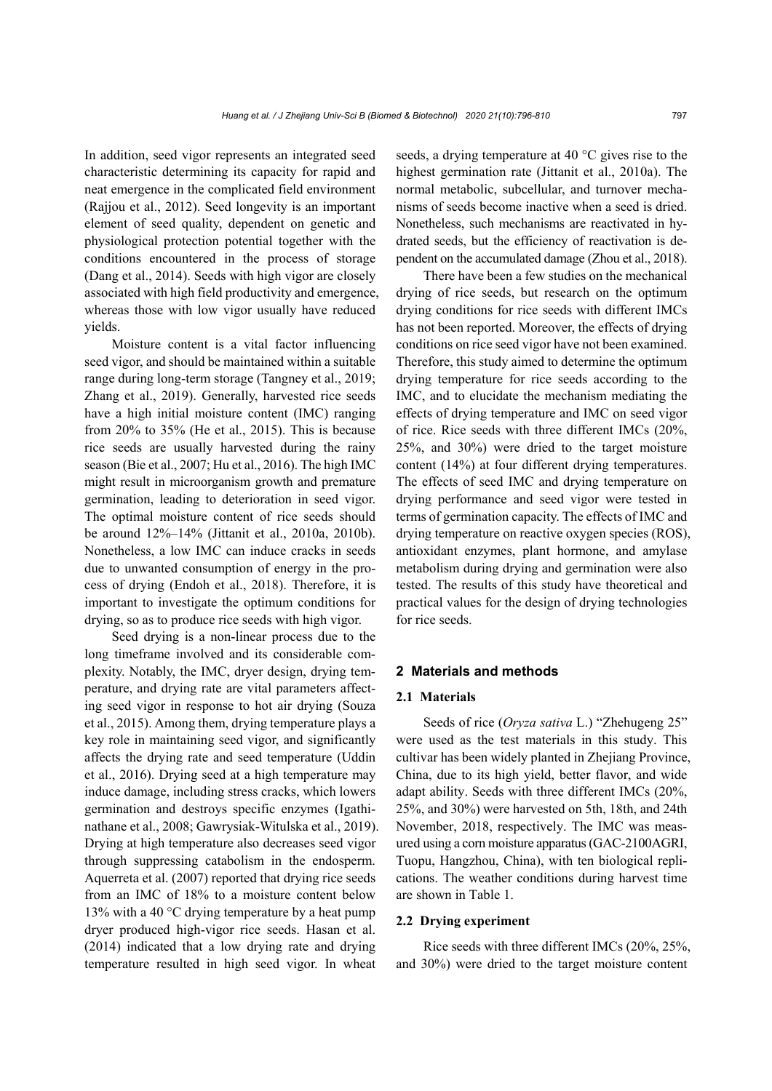In addition, seed vigor represents an integrated seed characteristic determining its capacity for rapid and neat emergence in the complicated field environment (Rajjou et al., 2012). Seed longevity is an important element of seed quality, dependent on genetic and physiological protection potential together with the conditions encountered in the process of storage (Dang et al., 2014). Seeds with high vigor are closely associated with high field productivity and emergence, whereas those with low vigor usually have reduced yields.

Moisture content is a vital factor influencing seed vigor, and should be maintained within a suitable range during long-term storage (Tangney et al., 2019; Zhang et al., 2019). Generally, harvested rice seeds have a high initial moisture content (IMC) ranging from 20% to 35% (He et al., 2015). This is because rice seeds are usually harvested during the rainy season (Bie et al., 2007; Hu et al., 2016). The high IMC might result in microorganism growth and premature germination, leading to deterioration in seed vigor. The optimal moisture content of rice seeds should be around 12%–14% (Jittanit et al., 2010a, 2010b). Nonetheless, a low IMC can induce cracks in seeds due to unwanted consumption of energy in the process of drying (Endoh et al., 2018). Therefore, it is important to investigate the optimum conditions for drying, so as to produce rice seeds with high vigor.

Seed drying is a non-linear process due to the long timeframe involved and its considerable complexity. Notably, the IMC, dryer design, drying temperature, and drying rate are vital parameters affecting seed vigor in response to hot air drying (Souza et al., 2015). Among them, drying temperature plays a key role in maintaining seed vigor, and significantly affects the drying rate and seed temperature (Uddin et al., 2016). Drying seed at a high temperature may induce damage, including stress cracks, which lowers germination and destroys specific enzymes (Igathinathane et al., 2008; Gawrysiak-Witulska et al., 2019). Drying at high temperature also decreases seed vigor through suppressing catabolism in the endosperm. Aquerreta et al. (2007) reported that drying rice seeds from an IMC of 18% to a moisture content below 13% with a 40 °C drying temperature by a heat pump dryer produced high-vigor rice seeds. Hasan et al. (2014) indicated that a low drying rate and drying temperature resulted in high seed vigor. In wheat

seeds, a drying temperature at 40 °C gives rise to the highest germination rate (Jittanit et al., 2010a). The normal metabolic, subcellular, and turnover mechanisms of seeds become inactive when a seed is dried. Nonetheless, such mechanisms are reactivated in hydrated seeds, but the efficiency of reactivation is dependent on the accumulated damage (Zhou et al., 2018).

There have been a few studies on the mechanical drying of rice seeds, but research on the optimum drying conditions for rice seeds with different IMCs has not been reported. Moreover, the effects of drying conditions on rice seed vigor have not been examined. Therefore, this study aimed to determine the optimum drying temperature for rice seeds according to the IMC, and to elucidate the mechanism mediating the effects of drying temperature and IMC on seed vigor of rice. Rice seeds with three different IMCs (20%, 25%, and 30%) were dried to the target moisture content (14%) at four different drying temperatures. The effects of seed IMC and drying temperature on drying performance and seed vigor were tested in terms of germination capacity. The effects of IMC and drying temperature on reactive oxygen species (ROS), antioxidant enzymes, plant hormone, and amylase metabolism during drying and germination were also tested. The results of this study have theoretical and practical values for the design of drying technologies for rice seeds.

#### **2 Materials and methods**

#### **2.1 Materials**

Seeds of rice (*Oryza sativa* L.) "Zhehugeng 25" were used as the test materials in this study. This cultivar has been widely planted in Zhejiang Province, China, due to its high yield, better flavor, and wide adapt ability. Seeds with three different IMCs (20%, 25%, and 30%) were harvested on 5th, 18th, and 24th November, 2018, respectively. The IMC was measured using a corn moisture apparatus (GAC-2100AGRI, Tuopu, Hangzhou, China), with ten biological replications. The weather conditions during harvest time are shown in Table 1.

#### **2.2 Drying experiment**

Rice seeds with three different IMCs (20%, 25%, and 30%) were dried to the target moisture content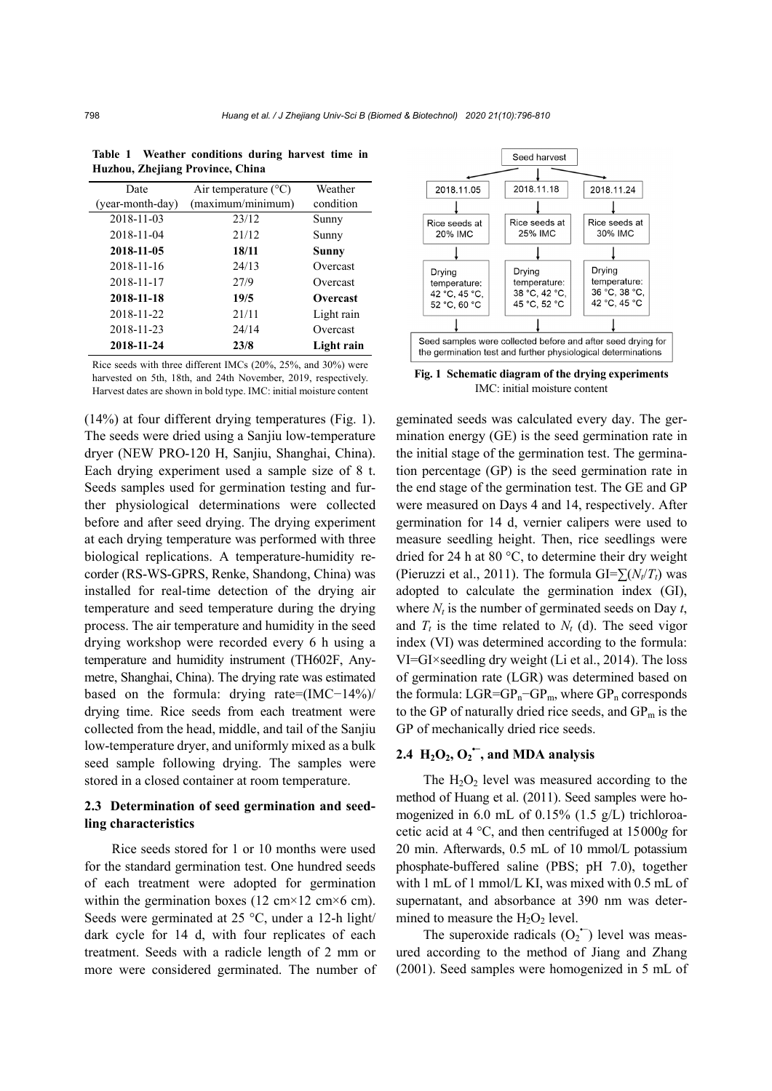| Date             | Air temperature $(^{\circ}C)$ | Weather    |
|------------------|-------------------------------|------------|
| (year-month-day) | (maximum/minimum)             | condition  |
| 2018-11-03       | 23/12                         | Sunny      |
| 2018-11-04       | 21/12                         | Sunny      |
| 2018-11-05       | 18/11                         | Sunny      |
| 2018-11-16       | 24/13                         | Overcast   |
| 2018-11-17       | 27/9                          | Overcast   |
| 2018-11-18       | 19/5                          | Overcast   |
| 2018-11-22       | 21/11                         | Light rain |
| 2018-11-23       | 24/14                         | Overcast   |
| 2018-11-24       | 23/8                          | Light rain |

**Table 1 Weather conditions during harvest time in Huzhou, Zhejiang Province, China** 

Rice seeds with three different IMCs (20%, 25%, and 30%) were harvested on 5th, 18th, and 24th November, 2019, respectively. Harvest dates are shown in bold type. IMC: initial moisture content

(14%) at four different drying temperatures (Fig. 1). The seeds were dried using a Sanjiu low-temperature dryer (NEW PRO-120 H, Sanjiu, Shanghai, China). Each drying experiment used a sample size of 8 t. Seeds samples used for germination testing and further physiological determinations were collected before and after seed drying. The drying experiment at each drying temperature was performed with three biological replications. A temperature-humidity recorder (RS-WS-GPRS, Renke, Shandong, China) was installed for real-time detection of the drying air temperature and seed temperature during the drying process. The air temperature and humidity in the seed drying workshop were recorded every 6 h using a temperature and humidity instrument (TH602F, Anymetre, Shanghai, China). The drying rate was estimated based on the formula: drying rate=(IMC−14%)/ drying time. Rice seeds from each treatment were collected from the head, middle, and tail of the Sanjiu low-temperature dryer, and uniformly mixed as a bulk seed sample following drying. The samples were stored in a closed container at room temperature.

## **2.3 Determination of seed germination and seedling characteristics**

Rice seeds stored for 1 or 10 months were used for the standard germination test. One hundred seeds of each treatment were adopted for germination within the germination boxes (12 cm $\times$ 12 cm $\times$ 6 cm). Seeds were germinated at 25 °C, under a 12-h light/ dark cycle for 14 d, with four replicates of each treatment. Seeds with a radicle length of 2 mm or more were considered germinated. The number of



**Fig. 1 Schematic diagram of the drying experiments**  IMC: initial moisture content

geminated seeds was calculated every day. The germination energy (GE) is the seed germination rate in the initial stage of the germination test. The germination percentage (GP) is the seed germination rate in the end stage of the germination test. The GE and GP were measured on Days 4 and 14, respectively. After germination for 14 d, vernier calipers were used to measure seedling height. Then, rice seedlings were dried for 24 h at 80 °C, to determine their dry weight (Pieruzzi et al., 2011). The formula GI= $\sum (N_t/T_t)$  was adopted to calculate the germination index (GI), where  $N_t$  is the number of germinated seeds on Day  $t$ , and  $T_t$  is the time related to  $N_t$  (d). The seed vigor index (VI) was determined according to the formula: VI=GI×seedling dry weight (Li et al., 2014). The loss of germination rate (LGR) was determined based on the formula:  $LGR = GP_n - GP_m$ , where  $GP_n$  corresponds to the GP of naturally dried rice seeds, and  $GP_m$  is the GP of mechanically dried rice seeds.

## 2.4  $H_2O_2$ ,  $O_2$ <sup> $\overline{\phantom{a}}$ </sup>, and MDA analysis

The  $H_2O_2$  level was measured according to the method of Huang et al. (2011). Seed samples were homogenized in 6.0 mL of 0.15% (1.5 g/L) trichloroacetic acid at 4 °C, and then centrifuged at 15000*g* for 20 min. Afterwards, 0.5 mL of 10 mmol/L potassium phosphate-buffered saline (PBS; pH 7.0), together with 1 mL of 1 mmol/L KI, was mixed with 0.5 mL of supernatant, and absorbance at 390 nm was determined to measure the  $H_2O_2$  level.

The superoxide radicals  $(O_2$ <sup>+</sup>) level was measured according to the method of Jiang and Zhang (2001). Seed samples were homogenized in 5 mL of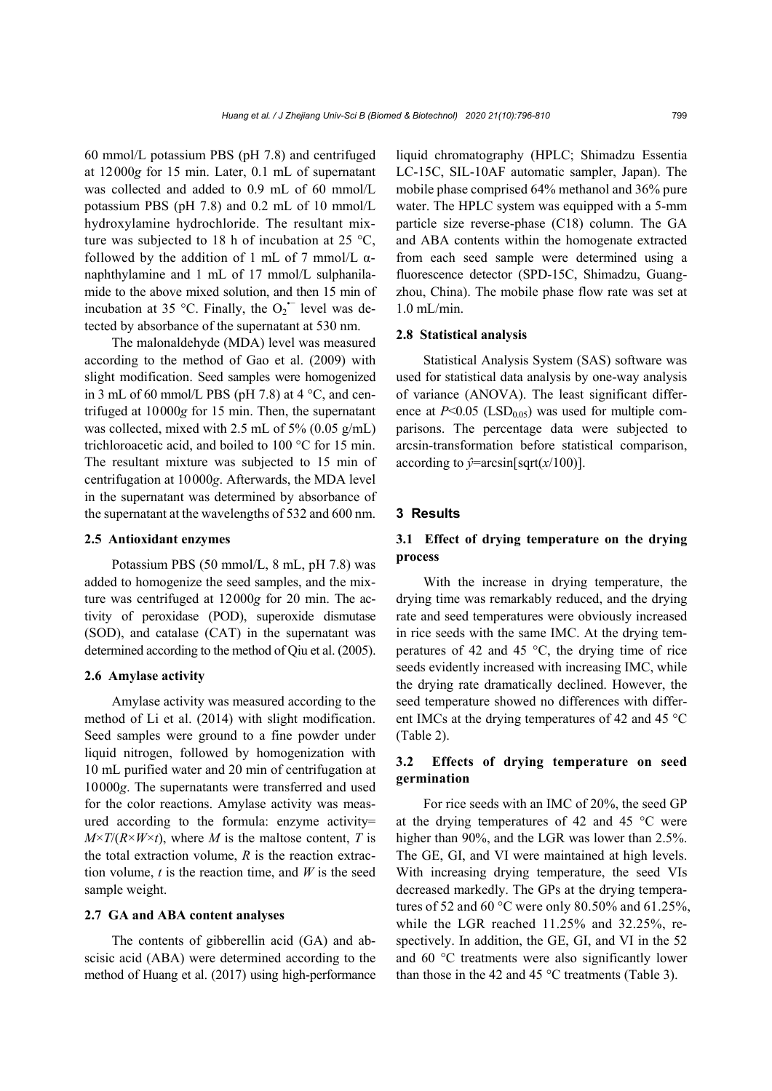60 mmol/L potassium PBS (pH 7.8) and centrifuged at 12000*g* for 15 min. Later, 0.1 mL of supernatant was collected and added to 0.9 mL of 60 mmol/L potassium PBS (pH 7.8) and 0.2 mL of 10 mmol/L hydroxylamine hydrochloride. The resultant mixture was subjected to 18 h of incubation at 25  $\,^{\circ}\text{C}$ , followed by the addition of 1 mL of 7 mmol/L  $\alpha$ naphthylamine and 1 mL of 17 mmol/L sulphanilamide to the above mixed solution, and then 15 min of incubation at 35 °C. Finally, the  $O_2$ <sup> $\sim$ </sup> level was detected by absorbance of the supernatant at 530 nm.

The malonaldehyde (MDA) level was measured according to the method of Gao et al. (2009) with slight modification. Seed samples were homogenized in 3 mL of 60 mmol/L PBS (pH 7.8) at  $4^{\circ}$ C, and centrifuged at 10000*g* for 15 min. Then, the supernatant was collected, mixed with 2.5 mL of 5%  $(0.05 \text{ g/mL})$ trichloroacetic acid, and boiled to 100 °C for 15 min. The resultant mixture was subjected to 15 min of centrifugation at 10000*g*. Afterwards, the MDA level in the supernatant was determined by absorbance of the supernatant at the wavelengths of 532 and 600 nm.

#### **2.5 Antioxidant enzymes**

Potassium PBS (50 mmol/L, 8 mL, pH 7.8) was added to homogenize the seed samples, and the mixture was centrifuged at 12000*g* for 20 min. The activity of peroxidase (POD), superoxide dismutase (SOD), and catalase (CAT) in the supernatant was determined according to the method of Qiu et al. (2005).

### **2.6 Amylase activity**

Amylase activity was measured according to the method of Li et al. (2014) with slight modification. Seed samples were ground to a fine powder under liquid nitrogen, followed by homogenization with 10 mL purified water and 20 min of centrifugation at 10000*g*. The supernatants were transferred and used for the color reactions. Amylase activity was measured according to the formula: enzyme activity=  $M \times T/(R \times W \times t)$ , where *M* is the maltose content, *T* is the total extraction volume,  $R$  is the reaction extraction volume,  $t$  is the reaction time, and  $W$  is the seed sample weight.

#### **2.7 GA and ABA content analyses**

The contents of gibberellin acid (GA) and abscisic acid (ABA) were determined according to the method of Huang et al. (2017) using high-performance liquid chromatography (HPLC; Shimadzu Essentia LC-15C, SIL-10AF automatic sampler, Japan). The mobile phase comprised 64% methanol and 36% pure water. The HPLC system was equipped with a 5-mm particle size reverse-phase (C18) column. The GA and ABA contents within the homogenate extracted from each seed sample were determined using a fluorescence detector (SPD-15C, Shimadzu, Guangzhou, China). The mobile phase flow rate was set at 1.0 mL/min.

### **2.8 Statistical analysis**

Statistical Analysis System (SAS) software was used for statistical data analysis by one-way analysis of variance (ANOVA). The least significant difference at  $P<0.05$  (LSD<sub>0.05</sub>) was used for multiple comparisons. The percentage data were subjected to arcsin-transformation before statistical comparison, according to  $\hat{y}$ =arcsin[sqrt( $x/100$ )].

## **3 Results**

## **3.1 Effect of drying temperature on the drying process**

With the increase in drying temperature, the drying time was remarkably reduced, and the drying rate and seed temperatures were obviously increased in rice seeds with the same IMC. At the drying temperatures of 42 and 45 °C, the drying time of rice seeds evidently increased with increasing IMC, while the drying rate dramatically declined. However, the seed temperature showed no differences with different IMCs at the drying temperatures of 42 and 45 °C (Table 2).

## **3.2 Effects of drying temperature on seed germination**

For rice seeds with an IMC of 20%, the seed GP at the drying temperatures of 42 and 45 °C were higher than 90%, and the LGR was lower than 2.5%. The GE, GI, and VI were maintained at high levels. With increasing drying temperature, the seed VIs decreased markedly. The GPs at the drying temperatures of 52 and 60 °C were only 80.50% and 61.25%, while the LGR reached 11.25% and 32.25%, respectively. In addition, the GE, GI, and VI in the 52 and 60 °C treatments were also significantly lower than those in the 42 and 45  $\degree$ C treatments (Table 3).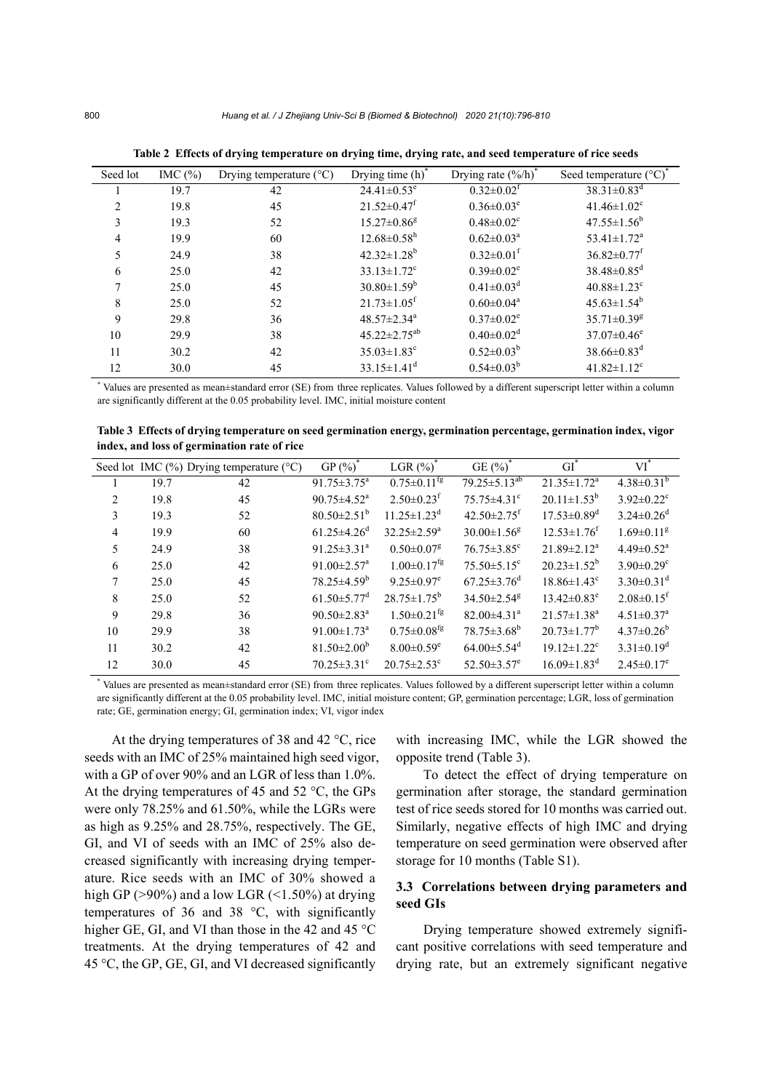| Seed lot | IMC $(\%)$ | Drying temperature $(^{\circ}C)$ | Drying time $(h)^*$           | Drying rate $(\frac{6}{h})^7$ | Seed temperature $({}^{\circ}C)^{*}$ |
|----------|------------|----------------------------------|-------------------------------|-------------------------------|--------------------------------------|
|          | 19.7       | 42                               | $24.41 \pm 0.53$ <sup>e</sup> | $0.32 \pm 0.02$ <sup>f</sup>  | $38.31 \pm 0.83$ <sup>d</sup>        |
| 2        | 19.8       | 45                               | $21.52 \pm 0.47$ <sup>f</sup> | $0.36 \pm 0.03^e$             | $41.46 \pm 1.02$ <sup>c</sup>        |
| 3        | 19.3       | 52                               | $15.27 \pm 0.86$ <sup>g</sup> | $0.48 \pm 0.02$ <sup>c</sup>  | $47.55 \pm 1.56^b$                   |
| 4        | 19.9       | 60                               | $12.68 \pm 0.58$ <sup>h</sup> | $0.62 \pm 0.03^{\text{a}}$    | $53.41 \pm 1.72$ <sup>a</sup>        |
| 5        | 24.9       | 38                               | $42.32 \pm 1.28$ <sup>b</sup> | $0.32 \pm 0.01^{\text{f}}$    | $36.82 \pm 0.77$ <sup>f</sup>        |
| 6        | 25.0       | 42                               | $33.13 \pm 1.72$ <sup>c</sup> | $0.39 \pm 0.02^e$             | $38.48 \pm 0.85$ <sup>d</sup>        |
|          | 25.0       | 45                               | $30.80 \pm 1.59^b$            | $0.41 \pm 0.03$ <sup>d</sup>  | $40.88 \pm 1.23$ <sup>c</sup>        |
| 8        | 25.0       | 52                               | $21.73 \pm 1.05$ <sup>f</sup> | $0.60 \pm 0.04^a$             | $45.63 \pm 1.54^b$                   |
| 9        | 29.8       | 36                               | $48.57 \pm 2.34$ <sup>a</sup> | $0.37 \pm 0.02^e$             | $35.71 \pm 0.39$ <sup>g</sup>        |
| 10       | 29.9       | 38                               | $45.22 \pm 2.75^{ab}$         | $0.40 \pm 0.02$ <sup>d</sup>  | $37.07 \pm 0.46$ <sup>e</sup>        |
| 11       | 30.2       | 42                               | $35.03 \pm 1.83$ <sup>c</sup> | $0.52 \pm 0.03^b$             | $38.66 \pm 0.83$ <sup>d</sup>        |
| 12       | 30.0       | 45                               | $33.15 \pm 1.41$ <sup>d</sup> | $0.54 \pm 0.03^b$             | $41.82 \pm 1.12$ <sup>c</sup>        |

**Table 2 Effects of drying temperature on drying time, drying rate, and seed temperature of rice seeds** 

\* Values are presented as mean±standard error (SE) from three replicates. Values followed by a different superscript letter within a column are significantly different at the 0.05 probability level. IMC, initial moisture content

**Table 3 Effects of drying temperature on seed germination energy, germination percentage, germination index, vigor index, and loss of germination rate of rice** 

|                |      | Seed lot IMC $(\%)$ Drying temperature $(°C)$ | GP $(\%)^*$                   | LGR $(\%)^*$                   | GE $(\%)^*$                   | $GI^*$                        | $VI^*$                       |
|----------------|------|-----------------------------------------------|-------------------------------|--------------------------------|-------------------------------|-------------------------------|------------------------------|
|                | 19.7 | 42                                            | $91.75 \pm 3.75^{\mathrm{a}}$ | $0.75 \pm 0.11^{\frac{1}{19}}$ | $79.25 \pm 5.13^{ab}$         | $21.35 \pm 1.72^a$            | $4.38 \pm 0.31^b$            |
| 2              | 19.8 | 45                                            | $90.75 \pm 4.52$ <sup>a</sup> | $2.50\pm0.23$ <sup>f</sup>     | $75.75 \pm 4.31$ °            | $20.11 \pm 1.53^b$            | $3.92 \pm 0.22$ <sup>c</sup> |
| 3              | 19.3 | 52                                            | $80.50 \pm 2.51^b$            | $11.25 \pm 1.23^d$             | $42.50 \pm 2.75$ <sup>f</sup> | $17.53 \pm 0.89$ <sup>d</sup> | $3.24 \pm 0.26$ <sup>d</sup> |
| $\overline{4}$ | 19.9 | 60                                            | $61.25 \pm 4.26$ <sup>d</sup> | $32.25 \pm 2.59^{\mathrm{a}}$  | $30.00 \pm 1.56$ <sup>g</sup> | $12.53 \pm 1.76$ <sup>f</sup> | $1.69 \pm 0.11$ <sup>g</sup> |
| 5              | 24.9 | 38                                            | $91.25 \pm 3.31^a$            | $0.50 \pm 0.07$ <sup>g</sup>   | $76.75 \pm 3.85$ <sup>c</sup> | $21.89 \pm 2.12^a$            | $4.49 \pm 0.52$ <sup>a</sup> |
| 6              | 25.0 | 42                                            | $91.00 \pm 2.57$ <sup>a</sup> | $1.00 \pm 0.17$ <sup>fg</sup>  | $75.50 \pm 5.15$ <sup>c</sup> | $20.23 \pm 1.52^b$            | $3.90 \pm 0.29$ <sup>c</sup> |
| 7              | 25.0 | 45                                            | $78.25 \pm 4.59^b$            | $9.25 \pm 0.97$ <sup>e</sup>   | $67.25 \pm 3.76$ <sup>d</sup> | $18.86 \pm 1.43$ <sup>c</sup> | $3.30\pm0.31^{\rm d}$        |
| 8              | 25.0 | 52                                            | $61.50 \pm 5.77$ <sup>d</sup> | $28.75 \pm 1.75^b$             | $34.50 \pm 2.54$ <sup>g</sup> | $13.42 \pm 0.83^e$            | $2.08\pm0.15$ <sup>f</sup>   |
| 9              | 29.8 | 36                                            | $90.50 \pm 2.83^{\text{a}}$   | $1.50 \pm 0.21$ <sup>fg</sup>  | $82.00\pm4.31$ <sup>a</sup>   | $21.57 \pm 1.38$ <sup>a</sup> | $4.51 \pm 0.37$ <sup>a</sup> |
| 10             | 29.9 | 38                                            | $91.00 \pm 1.73$ <sup>a</sup> | $0.75 \pm 0.08$ <sup>fg</sup>  | $78.75 \pm 3.68^b$            | $20.73 \pm 1.77^b$            | $4.37\pm0.26^b$              |
| 11             | 30.2 | 42                                            | $81.50 \pm 2.00^{\circ}$      | $8.00 \pm 0.59$ <sup>e</sup>   | $64.00 \pm 5.54$ <sup>d</sup> | $19.12 \pm 1.22$ <sup>c</sup> | $3.31 \pm 0.19^d$            |
| 12             | 30.0 | 45                                            | $70.25 \pm 3.31$ °            | $20.75 \pm 2.53$ <sup>c</sup>  | $52.50 \pm 3.57$ <sup>e</sup> | $16.09 \pm 1.83$ <sup>d</sup> | $2.45 \pm 0.17$ <sup>e</sup> |

\* Values are presented as mean±standard error (SE) from three replicates. Values followed by a different superscript letter within a column are significantly different at the 0.05 probability level. IMC, initial moisture content; GP, germination percentage; LGR, loss of germination rate; GE, germination energy; GI, germination index; VI, vigor index

At the drying temperatures of 38 and 42 °C, rice seeds with an IMC of 25% maintained high seed vigor, with a GP of over 90% and an LGR of less than 1.0%. At the drying temperatures of 45 and 52 °C, the GPs were only 78.25% and 61.50%, while the LGRs were as high as 9.25% and 28.75%, respectively. The GE, GI, and VI of seeds with an IMC of 25% also decreased significantly with increasing drying temperature. Rice seeds with an IMC of 30% showed a high GP ( $>90\%$ ) and a low LGR ( $<1.50\%$ ) at drying temperatures of 36 and 38 °C, with significantly higher GE, GI, and VI than those in the 42 and 45 °C treatments. At the drying temperatures of 42 and 45 °C, the GP, GE, GI, and VI decreased significantly

with increasing IMC, while the LGR showed the opposite trend (Table 3).

To detect the effect of drying temperature on germination after storage, the standard germination test of rice seeds stored for 10 months was carried out. Similarly, negative effects of high IMC and drying temperature on seed germination were observed after storage for 10 months (Table S1).

## **3.3 Correlations between drying parameters and seed GIs**

Drying temperature showed extremely significant positive correlations with seed temperature and drying rate, but an extremely significant negative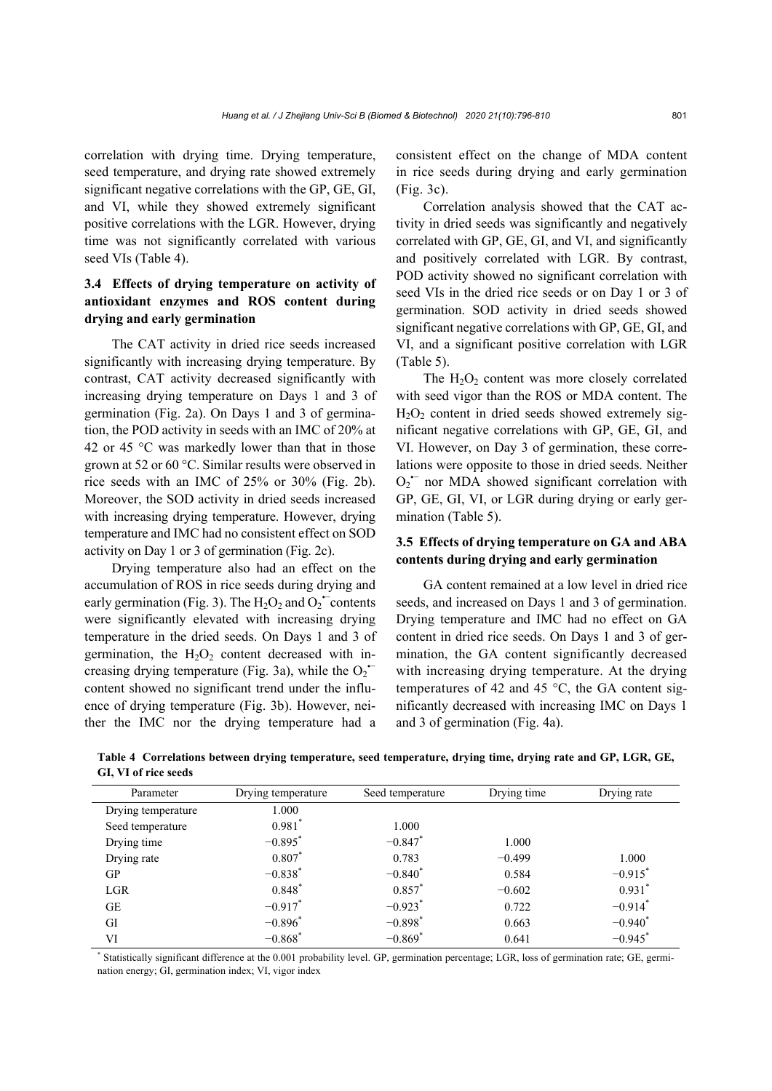correlation with drying time. Drying temperature, seed temperature, and drying rate showed extremely significant negative correlations with the GP, GE, GI, and VI, while they showed extremely significant positive correlations with the LGR. However, drying time was not significantly correlated with various seed VIs (Table 4).

## **3.4 Effects of drying temperature on activity of antioxidant enzymes and ROS content during drying and early germination**

The CAT activity in dried rice seeds increased significantly with increasing drying temperature. By contrast, CAT activity decreased significantly with increasing drying temperature on Days 1 and 3 of germination (Fig. 2a). On Days 1 and 3 of germination, the POD activity in seeds with an IMC of 20% at 42 or 45  $\degree$ C was markedly lower than that in those grown at 52 or 60 °C. Similar results were observed in rice seeds with an IMC of 25% or 30% (Fig. 2b). Moreover, the SOD activity in dried seeds increased with increasing drying temperature. However, drying temperature and IMC had no consistent effect on SOD activity on Day 1 or 3 of germination (Fig. 2c).

Drying temperature also had an effect on the accumulation of ROS in rice seeds during drying and early germination (Fig. 3). The  $H_2O_2$  and  $O_2$  contents were significantly elevated with increasing drying temperature in the dried seeds. On Days 1 and 3 of germination, the  $H_2O_2$  content decreased with increasing drying temperature (Fig. 3a), while the  $O_2$ <sup>+-</sup> content showed no significant trend under the influence of drying temperature (Fig. 3b). However, neither the IMC nor the drying temperature had a

consistent effect on the change of MDA content in rice seeds during drying and early germination (Fig. 3c).

Correlation analysis showed that the CAT activity in dried seeds was significantly and negatively correlated with GP, GE, GI, and VI, and significantly and positively correlated with LGR. By contrast, POD activity showed no significant correlation with seed VIs in the dried rice seeds or on Day 1 or 3 of germination. SOD activity in dried seeds showed significant negative correlations with GP, GE, GI, and VI, and a significant positive correlation with LGR (Table 5).

The  $H_2O_2$  content was more closely correlated with seed vigor than the ROS or MDA content. The  $H<sub>2</sub>O<sub>2</sub>$  content in dried seeds showed extremely significant negative correlations with GP, GE, GI, and VI. However, on Day 3 of germination, these correlations were opposite to those in dried seeds. Neither  $O_2$ <sup> $-$ </sup> nor MDA showed significant correlation with GP, GE, GI, VI, or LGR during drying or early germination (Table 5).

## **3.5 Effects of drying temperature on GA and ABA contents during drying and early germination**

GA content remained at a low level in dried rice seeds, and increased on Days 1 and 3 of germination. Drying temperature and IMC had no effect on GA content in dried rice seeds. On Days 1 and 3 of germination, the GA content significantly decreased with increasing drying temperature. At the drying temperatures of 42 and 45  $^{\circ}$ C, the GA content significantly decreased with increasing IMC on Days 1 and 3 of germination (Fig. 4a).

**Table 4 Correlations between drying temperature, seed temperature, drying time, drying rate and GP, LGR, GE, GI, VI of rice seeds** 

| Parameter          | Drying temperature    | Seed temperature      | Drying time | Drying rate           |
|--------------------|-----------------------|-----------------------|-------------|-----------------------|
| Drying temperature | 1.000                 |                       |             |                       |
| Seed temperature   | $0.981$ <sup>*</sup>  | 1.000                 |             |                       |
| Drying time        | $-0.895$ <sup>*</sup> | $-0.847$ *            | 1.000       |                       |
| Drying rate        | 0.807                 | 0.783                 | $-0.499$    | 1.000                 |
| GP                 | $-0.838*$             | $-0.840^*$            | 0.584       | $-0.915^*$            |
| <b>LGR</b>         | $0.848^{*}$           | $0.857^{*}$           | $-0.602$    | 0.931                 |
| GE                 | $-0.917$ *            | $-0.923$ <sup>*</sup> | 0.722       | $-0.914$ <sup>*</sup> |
| GI                 | $-0.896*$             | $-0.898*$             | 0.663       | $-0.940^*$            |
| VI                 | $-0.868$ <sup>*</sup> | $-0.869$ <sup>*</sup> | 0.641       | $-0.945$ <sup>*</sup> |

\* Statistically significant difference at the 0.001 probability level. GP, germination percentage; LGR, loss of germination rate; GE, germination energy; GI, germination index; VI, vigor index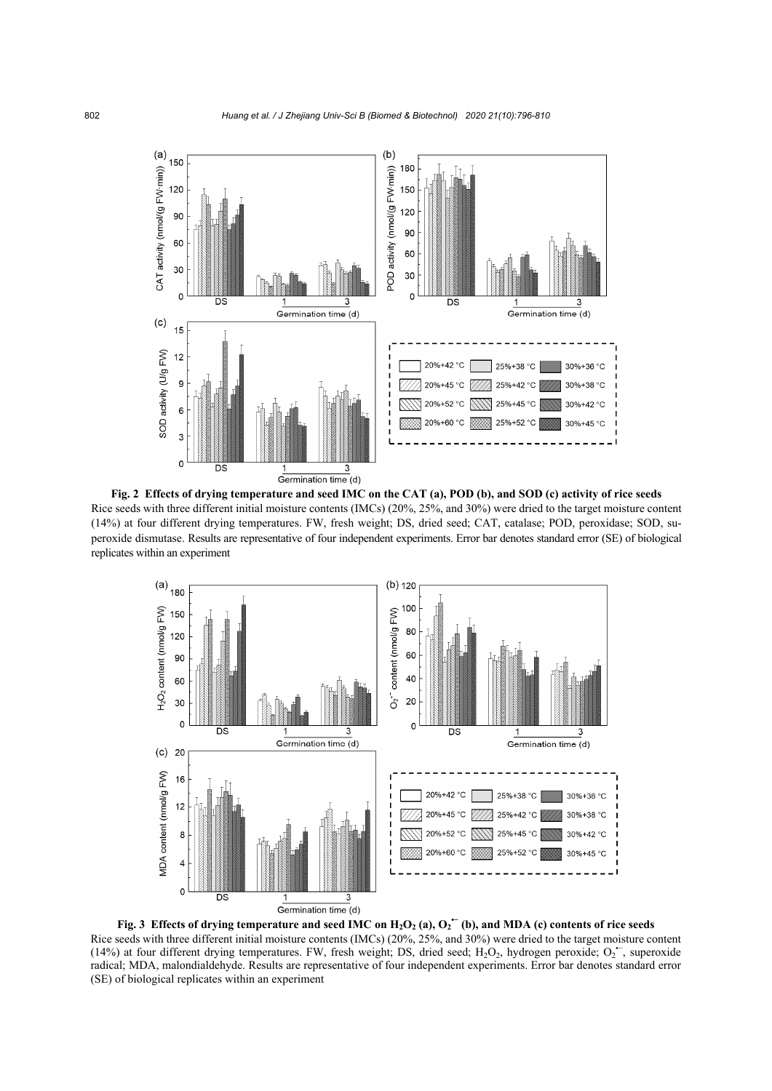

**Fig. 2 Effects of drying temperature and seed IMC on the CAT (a), POD (b), and SOD (c) activity of rice seeds**  Rice seeds with three different initial moisture contents (IMCs) (20%, 25%, and 30%) were dried to the target moisture content (14%) at four different drying temperatures. FW, fresh weight; DS, dried seed; CAT, catalase; POD, peroxidase; SOD, superoxide dismutase. Results are representative of four independent experiments. Error bar denotes standard error (SE) of biological replicates within an experiment



Fig. 3 Effects of drying temperature and seed IMC on  $H_2O_2$  (a),  $O_2$ <sup> $\leftarrow$ </sup> (b), and MDA (c) contents of rice seeds Rice seeds with three different initial moisture contents (IMCs) (20%, 25%, and 30%) were dried to the target moisture content (14%) at four different drying temperatures. FW, fresh weight; DS, dried seed;  $H_2O_2$ , hydrogen peroxide;  $O_2$ , superoxide radical; MDA, malondialdehyde. Results are representative of four independent experiments. Error bar denotes standard error (SE) of biological replicates within an experiment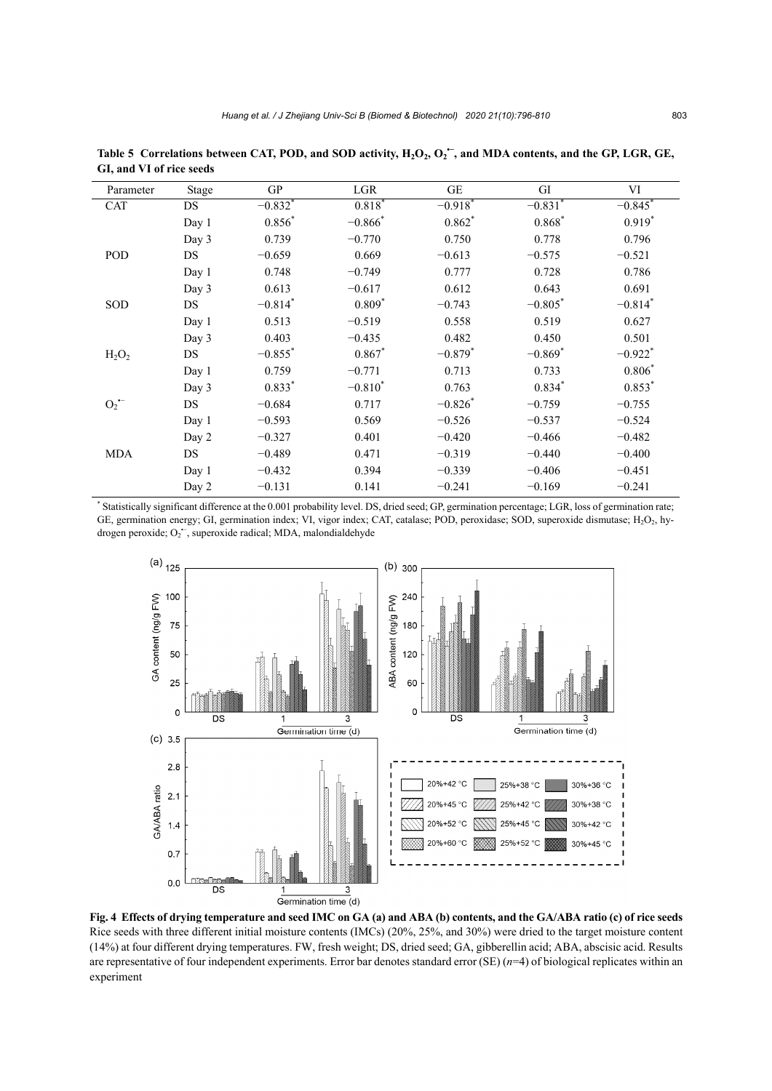| Parameter          | <b>Stage</b> | GP                    | LGR        | $\operatorname{GE}$   | GI                    | VI                    |
|--------------------|--------------|-----------------------|------------|-----------------------|-----------------------|-----------------------|
| <b>CAT</b>         | DS           | $-0.832$ <sup>*</sup> | 0.818      | $-0.918$ <sup>*</sup> | $-0.831$ <sup>*</sup> | $-0.845$ <sup>*</sup> |
|                    | Day 1        | $0.856*$              | $-0.866*$  | $0.862$ <sup>*</sup>  | $0.868*$              | $0.919*$              |
|                    | Day 3        | 0.739                 | $-0.770$   | 0.750                 | 0.778                 | 0.796                 |
| POD                | DS           | $-0.659$              | 0.669      | $-0.613$              | $-0.575$              | $-0.521$              |
|                    | Day 1        | 0.748                 | $-0.749$   | 0.777                 | 0.728                 | 0.786                 |
|                    | Day 3        | 0.613                 | $-0.617$   | 0.612                 | 0.643                 | 0.691                 |
| SOD                | DS           | $-0.814$ *            | $0.809*$   | $-0.743$              | $-0.805$ *            | $-0.814$ *            |
|                    | Day 1        | 0.513                 | $-0.519$   | 0.558                 | 0.519                 | 0.627                 |
|                    | Day 3        | 0.403                 | $-0.435$   | 0.482                 | 0.450                 | 0.501                 |
| $H_2O_2$           | DS           | $-0.855$ *            | $0.867*$   | $-0.879$ *            | $-0.869$ *            | $-0.922$ <sup>*</sup> |
|                    | Day 1        | 0.759                 | $-0.771$   | 0.713                 | 0.733                 | $0.806*$              |
|                    | Day 3        | $0.833*$              | $-0.810^*$ | 0.763                 | $0.834*$              | $0.853*$              |
| $O_2$ <sup>-</sup> | DS           | $-0.684$              | 0.717      | $-0.826*$             | $-0.759$              | $-0.755$              |
|                    | Day 1        | $-0.593$              | 0.569      | $-0.526$              | $-0.537$              | $-0.524$              |
|                    | Day 2        | $-0.327$              | 0.401      | $-0.420$              | $-0.466$              | $-0.482$              |
| <b>MDA</b>         | DS           | $-0.489$              | 0.471      | $-0.319$              | $-0.440$              | $-0.400$              |
|                    | Day 1        | $-0.432$              | 0.394      | $-0.339$              | $-0.406$              | $-0.451$              |
|                    | Day 2        | $-0.131$              | 0.141      | $-0.241$              | $-0.169$              | $-0.241$              |

Table 5 Correlations between CAT, POD, and SOD activity, H<sub>2</sub>O<sub>2</sub>, O<sub>2</sub><sup>→</sup>, and MDA contents, and the GP, LGR, GE, **GI, and VI of rice seeds** 

\* Statistically significant difference at the 0.001 probability level. DS, dried seed; GP, germination percentage; LGR, loss of germination rate; GE, germination energy; GI, germination index; VI, vigor index; CAT, catalase; POD, peroxidase; SOD, superoxide dismutase;  $H_2O_2$ , hydrogen peroxide; O<sub>2</sub><sup>-</sup>, superoxide radical; MDA, malondialdehyde



**Fig. 4 Effects of drying temperature and seed IMC on GA (a) and ABA (b) contents, and the GA/ABA ratio (c) of rice seeds**  Rice seeds with three different initial moisture contents (IMCs) (20%, 25%, and 30%) were dried to the target moisture content (14%) at four different drying temperatures. FW, fresh weight; DS, dried seed; GA, gibberellin acid; ABA, abscisic acid. Results are representative of four independent experiments. Error bar denotes standard error (SE) (*n*=4) of biological replicates within an experiment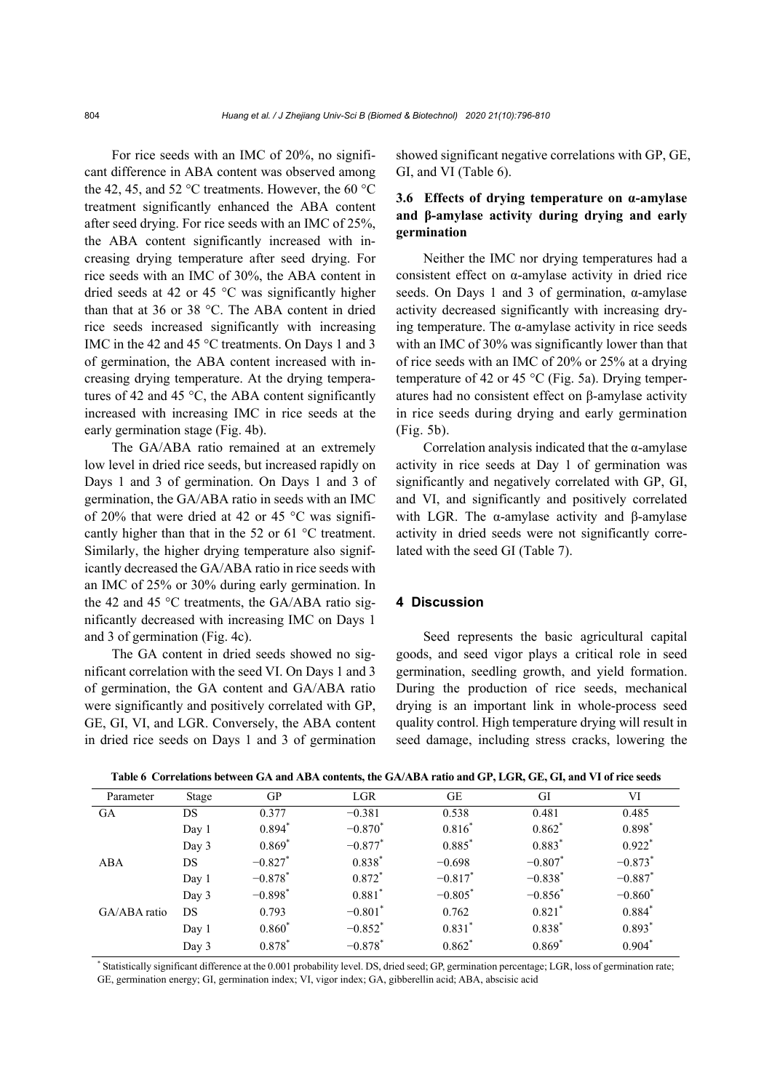For rice seeds with an IMC of 20%, no significant difference in ABA content was observed among the 42, 45, and 52 °C treatments. However, the 60 °C treatment significantly enhanced the ABA content after seed drying. For rice seeds with an IMC of 25%, the ABA content significantly increased with increasing drying temperature after seed drying. For rice seeds with an IMC of 30%, the ABA content in dried seeds at 42 or 45 °C was significantly higher than that at 36 or 38 °C. The ABA content in dried rice seeds increased significantly with increasing IMC in the 42 and 45 °C treatments. On Days 1 and 3 of germination, the ABA content increased with increasing drying temperature. At the drying temperatures of 42 and 45  $\degree$ C, the ABA content significantly increased with increasing IMC in rice seeds at the early germination stage (Fig. 4b).

The GA/ABA ratio remained at an extremely low level in dried rice seeds, but increased rapidly on Days 1 and 3 of germination. On Days 1 and 3 of germination, the GA/ABA ratio in seeds with an IMC of 20% that were dried at 42 or 45 °C was significantly higher than that in the 52 or 61 °C treatment. Similarly, the higher drying temperature also significantly decreased the GA/ABA ratio in rice seeds with an IMC of 25% or 30% during early germination. In the 42 and 45 °C treatments, the GA/ABA ratio significantly decreased with increasing IMC on Days 1 and 3 of germination (Fig. 4c).

The GA content in dried seeds showed no significant correlation with the seed VI. On Days 1 and 3 of germination, the GA content and GA/ABA ratio were significantly and positively correlated with GP, GE, GI, VI, and LGR. Conversely, the ABA content in dried rice seeds on Days 1 and 3 of germination showed significant negative correlations with GP, GE, GI, and VI (Table 6).

## **3.6 Effects of drying temperature on α-amylase and β-amylase activity during drying and early germination**

Neither the IMC nor drying temperatures had a consistent effect on α-amylase activity in dried rice seeds. On Days 1 and 3 of germination, α-amylase activity decreased significantly with increasing drying temperature. The  $\alpha$ -amylase activity in rice seeds with an IMC of 30% was significantly lower than that of rice seeds with an IMC of 20% or 25% at a drying temperature of 42 or 45 °C (Fig. 5a). Drying temperatures had no consistent effect on β-amylase activity in rice seeds during drying and early germination (Fig. 5b).

Correlation analysis indicated that the  $\alpha$ -amylase activity in rice seeds at Day 1 of germination was significantly and negatively correlated with GP, GI, and VI, and significantly and positively correlated with LGR. The α-amylase activity and β-amylase activity in dried seeds were not significantly correlated with the seed GI (Table 7).

## **4 Discussion**

Seed represents the basic agricultural capital goods, and seed vigor plays a critical role in seed germination, seedling growth, and yield formation. During the production of rice seeds, mechanical drying is an important link in whole-process seed quality control. High temperature drying will result in seed damage, including stress cracks, lowering the

| Parameter    | Stage | GP                    | <b>LGR</b>            | GE                    | GI                   | VI                    |
|--------------|-------|-----------------------|-----------------------|-----------------------|----------------------|-----------------------|
| GA           | DS    | 0.377                 | $-0.381$              | 0.538                 | 0.481                | 0.485                 |
|              | Day 1 | $0.894*$              | $-0.870*$             | $0.816^{*}$           | $0.862^*$            | $0.898*$              |
|              | Day 3 | $0.869*$              | $-0.877$ *            | $0.885$ <sup>*</sup>  | $0.883*$             | $0.922$ <sup>*</sup>  |
| ABA          | DS    | $-0.827$ *            | $0.838*$              | $-0.698$              | $-0.807$             | $-0.873$ <sup>*</sup> |
|              | Day 1 | $-0.878$ <sup>*</sup> | $0.872*$              | $-0.817$ *            | $-0.838*$            | $-0.887$ <sup>*</sup> |
|              | Day 3 | $-0.898*$             | $0.881$ *             | $-0.805$ <sup>*</sup> | $-0.856^*$           | $-0.860^*$            |
| GA/ABA ratio | DS    | 0.793                 | $-0.801$ *            | 0.762                 | $0.821$ <sup>*</sup> | $0.884^{*}$           |
|              | Day 1 | $0.860*$              | $-0.852$ *            | $0.831^{*}$           | $0.838^{*}$          | $0.893*$              |
|              | Day 3 | $0.878*$              | $-0.878$ <sup>*</sup> | $0.862*$              | $0.869*$             | $0.904*$              |
|              |       |                       |                       |                       |                      |                       |

**Table 6 Correlations between GA and ABA contents, the GA/ABA ratio and GP, LGR, GE, GI, and VI of rice seeds** 

\* Statistically significant difference at the 0.001 probability level. DS, dried seed; GP, germination percentage; LGR, loss of germination rate; GE, germination energy; GI, germination index; VI, vigor index; GA, gibberellin acid; ABA, abscisic acid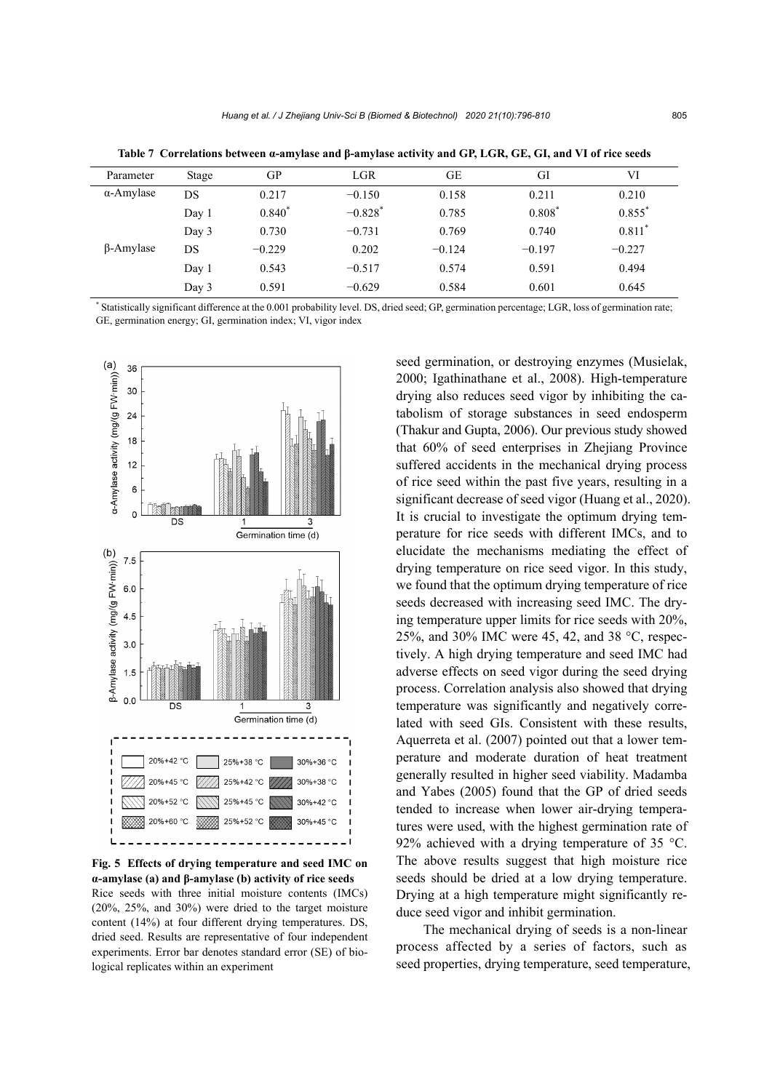| Parameter         | Stage | GP       | LGR                   | GE       | GI       | VI        |
|-------------------|-------|----------|-----------------------|----------|----------|-----------|
| $\alpha$ -Amylase | DS    | 0.217    | $-0.150$              | 0.158    | 0.211    | 0.210     |
|                   | Day 1 | $0.840*$ | $-0.828$ <sup>*</sup> | 0.785    | $0.808*$ | $0.855$ * |
|                   | Day 3 | 0.730    | $-0.731$              | 0.769    | 0.740    | $0.811*$  |
| $\beta$ -Amylase  | DS    | $-0.229$ | 0.202                 | $-0.124$ | $-0.197$ | $-0.227$  |
|                   | Day 1 | 0.543    | $-0.517$              | 0.574    | 0.591    | 0.494     |
|                   | Day 3 | 0.591    | $-0.629$              | 0.584    | 0.601    | 0.645     |

**Table 7 Correlations between α-amylase and β-amylase activity and GP, LGR, GE, GI, and VI of rice seeds** 

\* Statistically significant difference at the 0.001 probability level. DS, dried seed; GP, germination percentage; LGR, loss of germination rate; GE, germination energy; GI, germination index; VI, vigor index



**Fig. 5 Effects of drying temperature and seed IMC on α-amylase (a) and β-amylase (b) activity of rice seeds** Rice seeds with three initial moisture contents (IMCs) (20%, 25%, and 30%) were dried to the target moisture content (14%) at four different drying temperatures. DS, dried seed. Results are representative of four independent experiments. Error bar denotes standard error (SE) of biological replicates within an experiment

seed germination, or destroying enzymes (Musielak, 2000; Igathinathane et al., 2008). High-temperature drying also reduces seed vigor by inhibiting the catabolism of storage substances in seed endosperm (Thakur and Gupta, 2006). Our previous study showed that 60% of seed enterprises in Zhejiang Province suffered accidents in the mechanical drying process of rice seed within the past five years, resulting in a significant decrease of seed vigor (Huang et al., 2020). It is crucial to investigate the optimum drying temperature for rice seeds with different IMCs, and to elucidate the mechanisms mediating the effect of drying temperature on rice seed vigor. In this study, we found that the optimum drying temperature of rice seeds decreased with increasing seed IMC. The drying temperature upper limits for rice seeds with 20%, 25%, and 30% IMC were 45, 42, and 38 °C, respectively. A high drying temperature and seed IMC had adverse effects on seed vigor during the seed drying process. Correlation analysis also showed that drying temperature was significantly and negatively correlated with seed GIs. Consistent with these results, Aquerreta et al. (2007) pointed out that a lower temperature and moderate duration of heat treatment generally resulted in higher seed viability. Madamba and Yabes (2005) found that the GP of dried seeds tended to increase when lower air-drying temperatures were used, with the highest germination rate of 92% achieved with a drying temperature of 35 °C. The above results suggest that high moisture rice seeds should be dried at a low drying temperature. Drying at a high temperature might significantly reduce seed vigor and inhibit germination.

The mechanical drying of seeds is a non-linear process affected by a series of factors, such as seed properties, drying temperature, seed temperature,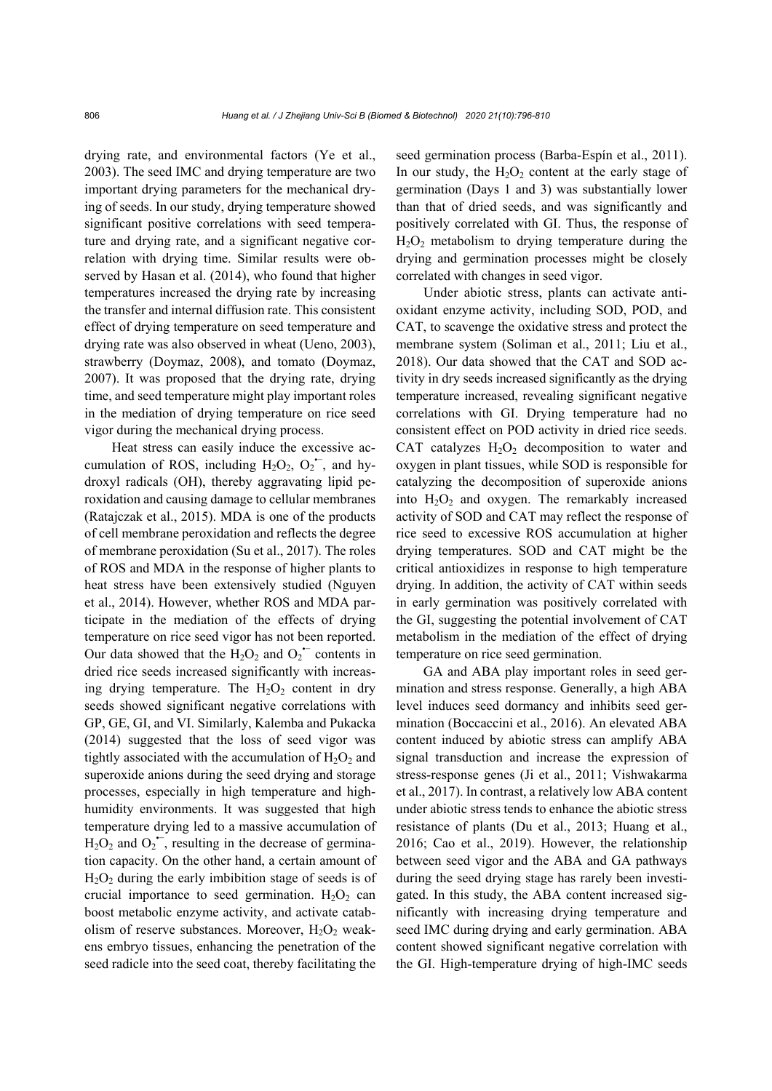drying rate, and environmental factors (Ye et al., 2003). The seed IMC and drying temperature are two important drying parameters for the mechanical drying of seeds. In our study, drying temperature showed significant positive correlations with seed temperature and drying rate, and a significant negative correlation with drying time. Similar results were observed by Hasan et al. (2014), who found that higher temperatures increased the drying rate by increasing the transfer and internal diffusion rate. This consistent effect of drying temperature on seed temperature and drying rate was also observed in wheat (Ueno, 2003), strawberry (Doymaz, 2008), and tomato (Doymaz, 2007). It was proposed that the drying rate, drying time, and seed temperature might play important roles in the mediation of drying temperature on rice seed vigor during the mechanical drying process.

Heat stress can easily induce the excessive accumulation of ROS, including  $H_2O_2$ ,  $O_2^{\text{--}}$ , and hydroxyl radicals (OH), thereby aggravating lipid peroxidation and causing damage to cellular membranes (Ratajczak et al., 2015). MDA is one of the products of cell membrane peroxidation and reflects the degree of membrane peroxidation (Su et al., 2017). The roles of ROS and MDA in the response of higher plants to heat stress have been extensively studied (Nguyen et al., 2014). However, whether ROS and MDA participate in the mediation of the effects of drying temperature on rice seed vigor has not been reported. Our data showed that the  $H_2O_2$  and  $O_2$  contents in dried rice seeds increased significantly with increasing drying temperature. The  $H_2O_2$  content in dry seeds showed significant negative correlations with GP, GE, GI, and VI. Similarly, Kalemba and Pukacka (2014) suggested that the loss of seed vigor was tightly associated with the accumulation of  $H_2O_2$  and superoxide anions during the seed drying and storage processes, especially in high temperature and highhumidity environments. It was suggested that high temperature drying led to a massive accumulation of  $H_2O_2$  and  $O_2^{\bullet-}$ , resulting in the decrease of germination capacity. On the other hand, a certain amount of  $H_2O_2$  during the early imbibition stage of seeds is of crucial importance to seed germination.  $H_2O_2$  can boost metabolic enzyme activity, and activate catabolism of reserve substances. Moreover,  $H_2O_2$  weakens embryo tissues, enhancing the penetration of the seed radicle into the seed coat, thereby facilitating the

seed germination process (Barba-Espín et al., 2011). In our study, the  $H_2O_2$  content at the early stage of germination (Days 1 and 3) was substantially lower than that of dried seeds, and was significantly and positively correlated with GI. Thus, the response of  $H<sub>2</sub>O<sub>2</sub>$  metabolism to drying temperature during the drying and germination processes might be closely correlated with changes in seed vigor.

Under abiotic stress, plants can activate antioxidant enzyme activity, including SOD, POD, and CAT, to scavenge the oxidative stress and protect the membrane system (Soliman et al., 2011; Liu et al., 2018). Our data showed that the CAT and SOD activity in dry seeds increased significantly as the drying temperature increased, revealing significant negative correlations with GI. Drying temperature had no consistent effect on POD activity in dried rice seeds. CAT catalyzes  $H_2O_2$  decomposition to water and oxygen in plant tissues, while SOD is responsible for catalyzing the decomposition of superoxide anions into  $H_2O_2$  and oxygen. The remarkably increased activity of SOD and CAT may reflect the response of rice seed to excessive ROS accumulation at higher drying temperatures. SOD and CAT might be the critical antioxidizes in response to high temperature drying. In addition, the activity of CAT within seeds in early germination was positively correlated with the GI, suggesting the potential involvement of CAT metabolism in the mediation of the effect of drying temperature on rice seed germination.

GA and ABA play important roles in seed germination and stress response. Generally, a high ABA level induces seed dormancy and inhibits seed germination (Boccaccini et al., 2016). An elevated ABA content induced by abiotic stress can amplify ABA signal transduction and increase the expression of stress-response genes (Ji et al., 2011; Vishwakarma et al., 2017). In contrast, a relatively low ABA content under abiotic stress tends to enhance the abiotic stress resistance of plants (Du et al., 2013; Huang et al., 2016; Cao et al., 2019). However, the relationship between seed vigor and the ABA and GA pathways during the seed drying stage has rarely been investigated. In this study, the ABA content increased significantly with increasing drying temperature and seed IMC during drying and early germination. ABA content showed significant negative correlation with the GI. High-temperature drying of high-IMC seeds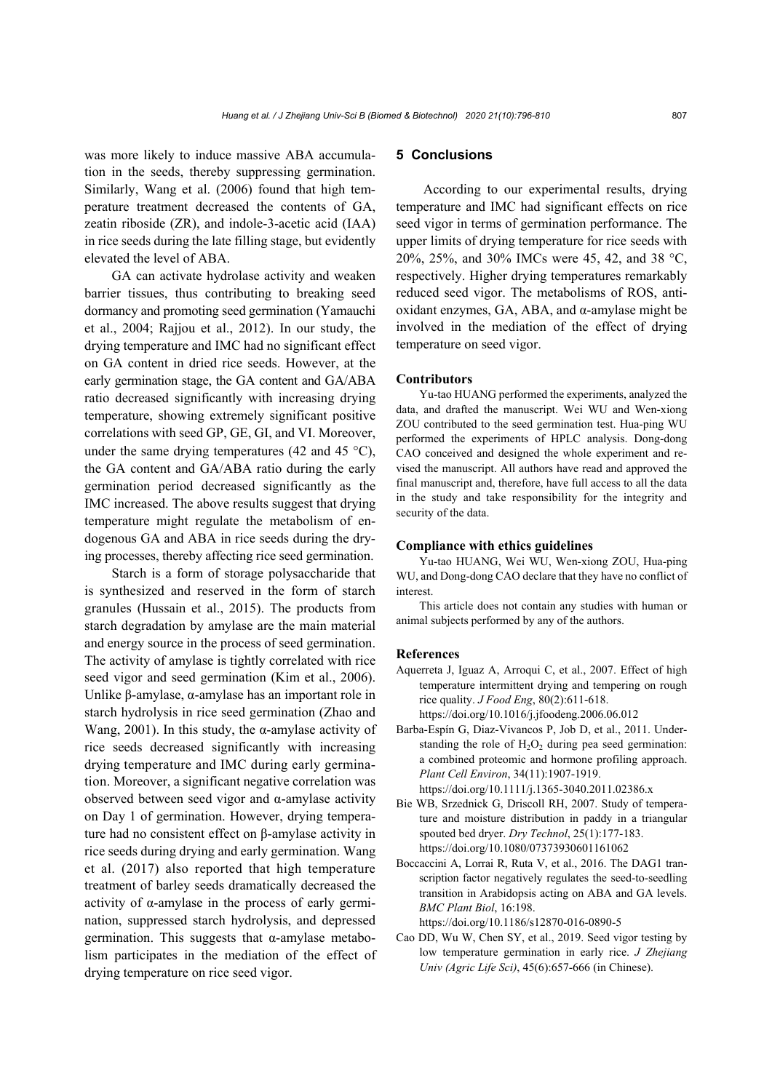was more likely to induce massive ABA accumulation in the seeds, thereby suppressing germination. Similarly, Wang et al. (2006) found that high temperature treatment decreased the contents of GA, zeatin riboside (ZR), and indole-3-acetic acid (IAA) in rice seeds during the late filling stage, but evidently elevated the level of ABA.

GA can activate hydrolase activity and weaken barrier tissues, thus contributing to breaking seed dormancy and promoting seed germination (Yamauchi et al., 2004; Rajjou et al., 2012). In our study, the drying temperature and IMC had no significant effect on GA content in dried rice seeds. However, at the early germination stage, the GA content and GA/ABA ratio decreased significantly with increasing drying temperature, showing extremely significant positive correlations with seed GP, GE, GI, and VI. Moreover, under the same drying temperatures (42 and 45  $^{\circ}$ C), the GA content and GA/ABA ratio during the early germination period decreased significantly as the IMC increased. The above results suggest that drying temperature might regulate the metabolism of endogenous GA and ABA in rice seeds during the drying processes, thereby affecting rice seed germination.

Starch is a form of storage polysaccharide that is synthesized and reserved in the form of starch granules (Hussain et al., 2015). The products from starch degradation by amylase are the main material and energy source in the process of seed germination. The activity of amylase is tightly correlated with rice seed vigor and seed germination (Kim et al., 2006). Unlike β-amylase, α-amylase has an important role in starch hydrolysis in rice seed germination (Zhao and Wang, 2001). In this study, the  $\alpha$ -amylase activity of rice seeds decreased significantly with increasing drying temperature and IMC during early germination. Moreover, a significant negative correlation was observed between seed vigor and α-amylase activity on Day 1 of germination. However, drying temperature had no consistent effect on β-amylase activity in rice seeds during drying and early germination. Wang et al. (2017) also reported that high temperature treatment of barley seeds dramatically decreased the activity of  $\alpha$ -amylase in the process of early germination, suppressed starch hydrolysis, and depressed germination. This suggests that α-amylase metabolism participates in the mediation of the effect of drying temperature on rice seed vigor.

### **5 Conclusions**

According to our experimental results, drying temperature and IMC had significant effects on rice seed vigor in terms of germination performance. The upper limits of drying temperature for rice seeds with 20%, 25%, and 30% IMCs were 45, 42, and 38 °C, respectively. Higher drying temperatures remarkably reduced seed vigor. The metabolisms of ROS, antioxidant enzymes, GA, ABA, and  $α$ -amylase might be involved in the mediation of the effect of drying temperature on seed vigor.

#### **Contributors**

Yu-tao HUANG performed the experiments, analyzed the data, and drafted the manuscript. Wei WU and Wen-xiong ZOU contributed to the seed germination test. Hua-ping WU performed the experiments of HPLC analysis. Dong-dong CAO conceived and designed the whole experiment and revised the manuscript. All authors have read and approved the final manuscript and, therefore, have full access to all the data in the study and take responsibility for the integrity and security of the data.

#### **Compliance with ethics guidelines**

Yu-tao HUANG, Wei WU, Wen-xiong ZOU, Hua-ping WU, and Dong-dong CAO declare that they have no conflict of interest.

This article does not contain any studies with human or animal subjects performed by any of the authors.

#### **References**

Aquerreta J, Iguaz A, Arroqui C, et al., 2007. Effect of high temperature intermittent drying and tempering on rough rice quality. *J Food Eng*, 80(2):611-618.

https://doi.org/10.1016/j.jfoodeng.2006.06.012

- Barba-Espín G, Diaz-Vivancos P, Job D, et al., 2011. Understanding the role of  $H_2O_2$  during pea seed germination: a combined proteomic and hormone profiling approach. *Plant Cell Environ*, 34(11):1907-1919.
- https://doi.org/10.1111/j.1365-3040.2011.02386.x Bie WB, Srzednick G, Driscoll RH, 2007. Study of tempera-
- ture and moisture distribution in paddy in a triangular spouted bed dryer. *Dry Technol*, 25(1):177-183. https://doi.org/10.1080/07373930601161062
- Boccaccini A, Lorrai R, Ruta V, et al., 2016. The DAG1 transcription factor negatively regulates the seed-to-seedling transition in Arabidopsis acting on ABA and GA levels. *BMC Plant Biol*, 16:198.

https://doi.org/10.1186/s12870-016-0890-5

Cao DD, Wu W, Chen SY, et al., 2019. Seed vigor testing by low temperature germination in early rice. *J Zhejiang Univ (Agric Life Sci)*, 45(6):657-666 (in Chinese).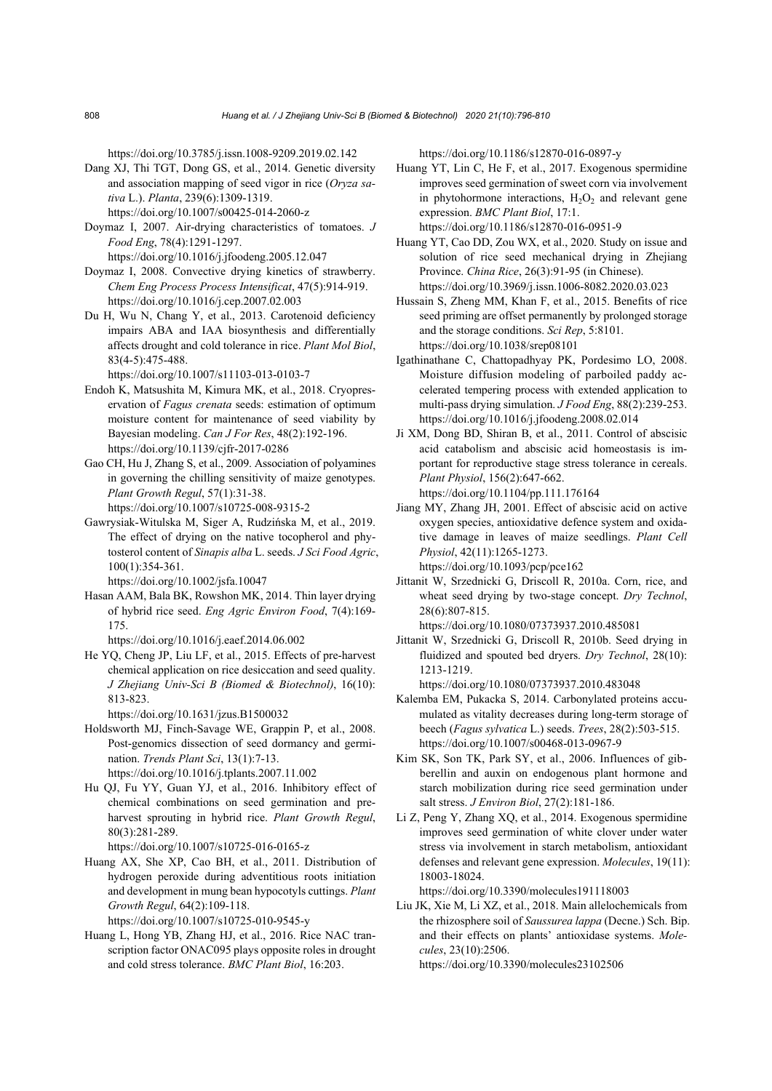https://doi.org/10.3785/j.issn.1008-9209.2019.02.142

- Dang XJ, Thi TGT, Dong GS, et al., 2014. Genetic diversity and association mapping of seed vigor in rice (*Oryza sativa* L.). *Planta*, 239(6):1309-1319. https://doi.org/10.1007/s00425-014-2060-z
- Doymaz I, 2007. Air-drying characteristics of tomatoes. *J Food Eng*, 78(4):1291-1297.

https://doi.org/10.1016/j.jfoodeng.2005.12.047

- Doymaz I, 2008. Convective drying kinetics of strawberry. *Chem Eng Process Process Intensificat*, 47(5):914-919. https://doi.org/10.1016/j.cep.2007.02.003
- Du H, Wu N, Chang Y, et al., 2013. Carotenoid deficiency impairs ABA and IAA biosynthesis and differentially affects drought and cold tolerance in rice. *Plant Mol Biol*, 83(4-5):475-488.

https://doi.org/10.1007/s11103-013-0103-7

- Endoh K, Matsushita M, Kimura MK, et al., 2018. Cryopreservation of *Fagus crenata* seeds: estimation of optimum moisture content for maintenance of seed viability by Bayesian modeling. *Can J For Res*, 48(2):192-196. https://doi.org/10.1139/cjfr-2017-0286
- Gao CH, Hu J, Zhang S, et al., 2009. Association of polyamines in governing the chilling sensitivity of maize genotypes. *Plant Growth Regul*, 57(1):31-38. https://doi.org/10.1007/s10725-008-9315-2
- Gawrysiak-Witulska M, Siger A, Rudzińska M, et al., 2019. The effect of drying on the native tocopherol and phytosterol content of *Sinapis alba* L. seeds. *J Sci Food Agric*, 100(1):354-361.

https://doi.org/10.1002/jsfa.10047

- Hasan AAM, Bala BK, Rowshon MK, 2014. Thin layer drying of hybrid rice seed. *Eng Agric Environ Food*, 7(4):169- 175.
	- https://doi.org/10.1016/j.eaef.2014.06.002
- He YQ, Cheng JP, Liu LF, et al., 2015. Effects of pre-harvest chemical application on rice desiccation and seed quality. *J Zhejiang Univ-Sci B (Biomed & Biotechnol)*, 16(10): 813-823.

https://doi.org/10.1631/jzus.B1500032

- Holdsworth MJ, Finch-Savage WE, Grappin P, et al., 2008. Post-genomics dissection of seed dormancy and germination. *Trends Plant Sci*, 13(1):7-13. https://doi.org/10.1016/j.tplants.2007.11.002
- Hu QJ, Fu YY, Guan YJ, et al., 2016. Inhibitory effect of chemical combinations on seed germination and preharvest sprouting in hybrid rice. *Plant Growth Regul*, 80(3):281-289.

https://doi.org/10.1007/s10725-016-0165-z

Huang AX, She XP, Cao BH, et al., 2011. Distribution of hydrogen peroxide during adventitious roots initiation and development in mung bean hypocotyls cuttings. *Plant Growth Regul*, 64(2):109-118.

https://doi.org/10.1007/s10725-010-9545-y

Huang L, Hong YB, Zhang HJ, et al., 2016. Rice NAC transcription factor ONAC095 plays opposite roles in drought and cold stress tolerance. *BMC Plant Biol*, 16:203.

https://doi.org/10.1186/s12870-016-0897-y

- Huang YT, Lin C, He F, et al., 2017. Exogenous spermidine improves seed germination of sweet corn via involvement in phytohormone interactions,  $H_2O_2$  and relevant gene expression. *BMC Plant Biol*, 17:1. https://doi.org/10.1186/s12870-016-0951-9
- Huang YT, Cao DD, Zou WX, et al., 2020. Study on issue and solution of rice seed mechanical drying in Zhejiang Province. *China Rice*, 26(3):91-95 (in Chinese). https://doi.org/10.3969/j.issn.1006-8082.2020.03.023
- Hussain S, Zheng MM, Khan F, et al., 2015. Benefits of rice seed priming are offset permanently by prolonged storage and the storage conditions. *Sci Rep*, 5:8101. https://doi.org/10.1038/srep08101
- Igathinathane C, Chattopadhyay PK, Pordesimo LO, 2008. Moisture diffusion modeling of parboiled paddy accelerated tempering process with extended application to multi-pass drying simulation. *J Food Eng*, 88(2):239-253. https://doi.org/10.1016/j.jfoodeng.2008.02.014
- Ji XM, Dong BD, Shiran B, et al., 2011. Control of abscisic acid catabolism and abscisic acid homeostasis is important for reproductive stage stress tolerance in cereals. *Plant Physiol*, 156(2):647-662. https://doi.org/10.1104/pp.111.176164
- Jiang MY, Zhang JH, 2001. Effect of abscisic acid on active oxygen species, antioxidative defence system and oxidative damage in leaves of maize seedlings. *Plant Cell Physiol*, 42(11):1265-1273.

https://doi.org/10.1093/pcp/pce162

Jittanit W, Srzednicki G, Driscoll R, 2010a. Corn, rice, and wheat seed drying by two-stage concept. *Dry Technol*, 28(6):807-815.

https://doi.org/10.1080/07373937.2010.485081

Jittanit W, Srzednicki G, Driscoll R, 2010b. Seed drying in fluidized and spouted bed dryers. *Dry Technol*, 28(10): 1213-1219.

https://doi.org/10.1080/07373937.2010.483048

- Kalemba EM, Pukacka S, 2014. Carbonylated proteins accumulated as vitality decreases during long-term storage of beech (*Fagus sylvatica* L.) seeds. *Trees*, 28(2):503-515. https://doi.org/10.1007/s00468-013-0967-9
- Kim SK, Son TK, Park SY, et al., 2006. Influences of gibberellin and auxin on endogenous plant hormone and starch mobilization during rice seed germination under salt stress. *J Environ Biol*, 27(2):181-186.
- Li Z, Peng Y, Zhang XQ, et al., 2014. Exogenous spermidine improves seed germination of white clover under water stress via involvement in starch metabolism, antioxidant defenses and relevant gene expression. *Molecules*, 19(11): 18003-18024.

https://doi.org/10.3390/molecules191118003

Liu JK, Xie M, Li XZ, et al., 2018. Main allelochemicals from the rhizosphere soil of *Saussurea lappa* (Decne.) Sch. Bip. and their effects on plants' antioxidase systems. *Molecules*, 23(10):2506.

https://doi.org/10.3390/molecules23102506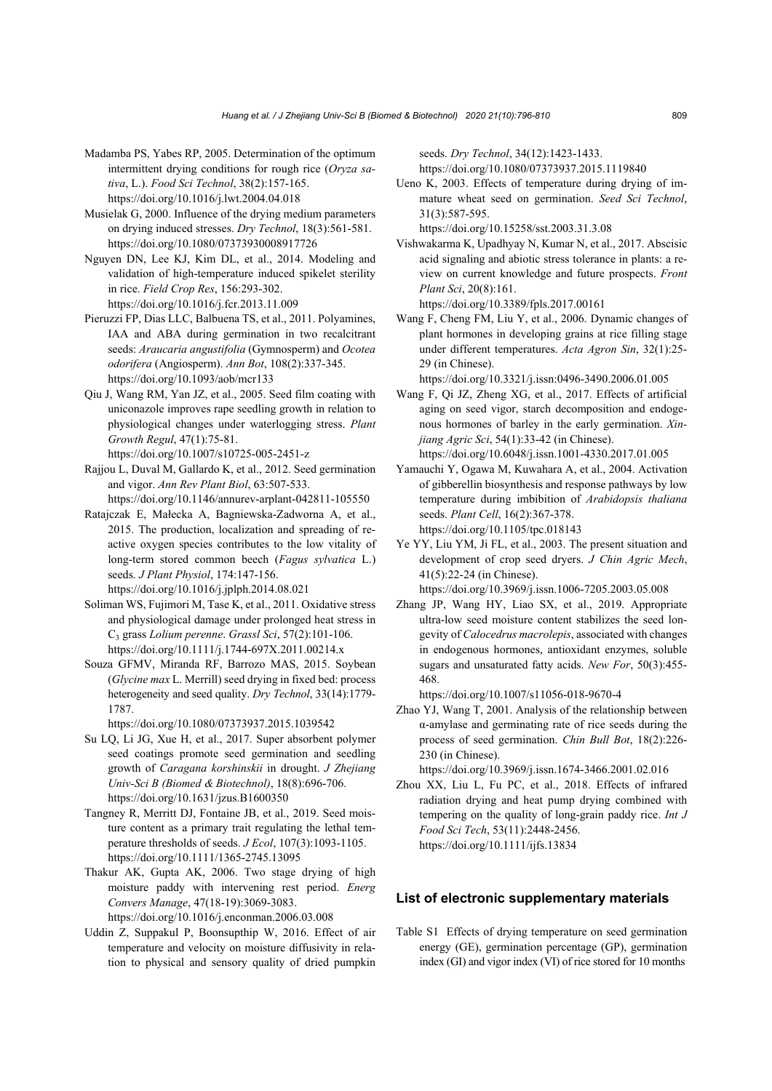- Madamba PS, Yabes RP, 2005. Determination of the optimum intermittent drying conditions for rough rice (*Oryza sativa*, L.). *Food Sci Technol*, 38(2):157-165. https://doi.org/10.1016/j.lwt.2004.04.018
- Musielak G, 2000. Influence of the drying medium parameters on drying induced stresses. *Dry Technol*, 18(3):561-581. https://doi.org/10.1080/07373930008917726
- Nguyen DN, Lee KJ, Kim DL, et al., 2014. Modeling and validation of high-temperature induced spikelet sterility in rice. *Field Crop Res*, 156:293-302. https://doi.org/10.1016/j.fcr.2013.11.009
- Pieruzzi FP, Dias LLC, Balbuena TS, et al., 2011. Polyamines, IAA and ABA during germination in two recalcitrant seeds: *Araucaria angustifolia* (Gymnosperm) and *Ocotea odorifera* (Angiosperm). *Ann Bot*, 108(2):337-345. https://doi.org/10.1093/aob/mcr133
- Qiu J, Wang RM, Yan JZ, et al., 2005. Seed film coating with uniconazole improves rape seedling growth in relation to physiological changes under waterlogging stress. *Plant Growth Regul*, 47(1):75-81.
	- https://doi.org/10.1007/s10725-005-2451-z
- Rajjou L, Duval M, Gallardo K, et al., 2012. Seed germination and vigor. *Ann Rev Plant Biol*, 63:507-533.
- https://doi.org/10.1146/annurev-arplant-042811-105550 Ratajczak E, Małecka A, Bagniewska-Zadworna A, et al., 2015. The production, localization and spreading of reactive oxygen species contributes to the low vitality of long-term stored common beech (*Fagus sylvatica* L.) seeds. *J Plant Physiol*, 174:147-156.

https://doi.org/10.1016/j.jplph.2014.08.021

- Soliman WS, Fujimori M, Tase K, et al., 2011. Oxidative stress and physiological damage under prolonged heat stress in C3 grass *Lolium perenne*. *Grassl Sci*, 57(2):101-106. https://doi.org/10.1111/j.1744-697X.2011.00214.x
- Souza GFMV, Miranda RF, Barrozo MAS, 2015. Soybean (*Glycine max* L. Merrill) seed drying in fixed bed: process heterogeneity and seed quality. *Dry Technol*, 33(14):1779- 1787.

https://doi.org/10.1080/07373937.2015.1039542

- Su LQ, Li JG, Xue H, et al., 2017. Super absorbent polymer seed coatings promote seed germination and seedling growth of *Caragana korshinskii* in drought. *J Zhejiang Univ-Sci B (Biomed & Biotechnol)*, 18(8):696-706. https://doi.org/10.1631/jzus.B1600350
- Tangney R, Merritt DJ, Fontaine JB, et al., 2019. Seed moisture content as a primary trait regulating the lethal temperature thresholds of seeds. *J Ecol*, 107(3):1093-1105. https://doi.org/10.1111/1365-2745.13095
- Thakur AK, Gupta AK, 2006. Two stage drying of high moisture paddy with intervening rest period. *Energ Convers Manage*, 47(18-19):3069-3083. https://doi.org/10.1016/j.enconman.2006.03.008
- Uddin Z, Suppakul P, Boonsupthip W, 2016. Effect of air temperature and velocity on moisture diffusivity in rela-

tion to physical and sensory quality of dried pumpkin

seeds. *Dry Technol*, 34(12):1423-1433. https://doi.org/10.1080/07373937.2015.1119840

Ueno K, 2003. Effects of temperature during drying of immature wheat seed on germination. *Seed Sci Technol*, 31(3):587-595.

https://doi.org/10.15258/sst.2003.31.3.08

- Vishwakarma K, Upadhyay N, Kumar N, et al., 2017. Abscisic acid signaling and abiotic stress tolerance in plants: a review on current knowledge and future prospects. *Front Plant Sci*, 20(8):161. https://doi.org/10.3389/fpls.2017.00161
- Wang F, Cheng FM, Liu Y, et al., 2006. Dynamic changes of plant hormones in developing grains at rice filling stage under different temperatures. *Acta Agron Sin*, 32(1):25- 29 (in Chinese).

https://doi.org/10.3321/j.issn:0496-3490.2006.01.005

- Wang F, Qi JZ, Zheng XG, et al., 2017. Effects of artificial aging on seed vigor, starch decomposition and endogenous hormones of barley in the early germination. *Xinjiang Agric Sci*, 54(1):33-42 (in Chinese). https://doi.org/10.6048/j.issn.1001-4330.2017.01.005
- Yamauchi Y, Ogawa M, Kuwahara A, et al., 2004. Activation of gibberellin biosynthesis and response pathways by low temperature during imbibition of *Arabidopsis thaliana* seeds. *Plant Cell*, 16(2):367-378. https://doi.org/10.1105/tpc.018143
- Ye YY, Liu YM, Ji FL, et al., 2003. The present situation and development of crop seed dryers. *J Chin Agric Mech*, 41(5):22-24 (in Chinese). https://doi.org/10.3969/j.issn.1006-7205.2003.05.008
- Zhang JP, Wang HY, Liao SX, et al., 2019. Appropriate ultra-low seed moisture content stabilizes the seed longevity of *Calocedrus macrolepis*, associated with changes in endogenous hormones, antioxidant enzymes, soluble sugars and unsaturated fatty acids. *New For*, 50(3):455- 468.

https://doi.org/10.1007/s11056-018-9670-4

Zhao YJ, Wang T, 2001. Analysis of the relationship between α-amylase and germinating rate of rice seeds during the process of seed germination. *Chin Bull Bot*, 18(2):226- 230 (in Chinese).

https://doi.org/10.3969/j.issn.1674-3466.2001.02.016

Zhou XX, Liu L, Fu PC, et al., 2018. Effects of infrared radiation drying and heat pump drying combined with tempering on the quality of long-grain paddy rice. *Int J Food Sci Tech*, 53(11):2448-2456. https://doi.org/10.1111/ijfs.13834

#### **List of electronic supplementary materials**

Table S1 Effects of drying temperature on seed germination energy (GE), germination percentage (GP), germination index (GI) and vigor index (VI) of rice stored for 10 months